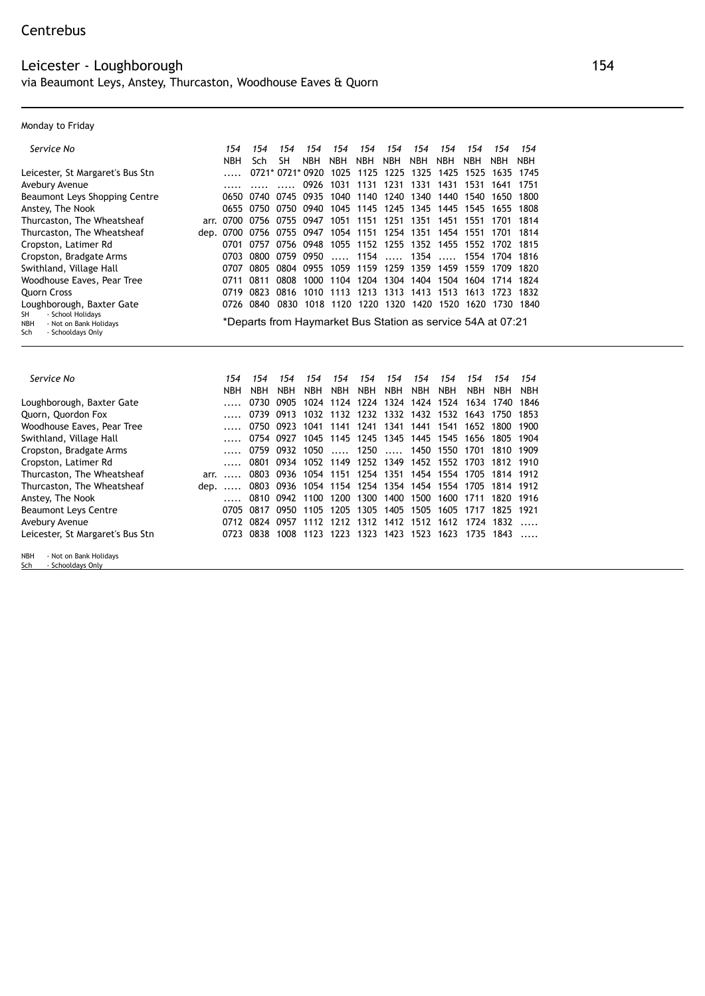## Monday to Friday

| Service No                                                                           | 154        | 154                      | 154              | 154        | 154                                                         | 154            | 154        | 154        | 154                                                       | 154            | 154  | 154        |
|--------------------------------------------------------------------------------------|------------|--------------------------|------------------|------------|-------------------------------------------------------------|----------------|------------|------------|-----------------------------------------------------------|----------------|------|------------|
|                                                                                      | <b>NBH</b> | Sch                      | SH               | <b>NBH</b> | <b>NBH</b>                                                  | <b>NBH</b>     | <b>NBH</b> | <b>NBH</b> | <b>NBH</b>                                                | <b>NBH</b>     | NBH. | <b>NBH</b> |
| Leicester, St Margaret's Bus Stn                                                     |            |                          | 0721* 0721* 0920 |            |                                                             |                |            |            | 1025 1125 1225 1325 1425 1525 1635 1745                   |                |      |            |
| Avebury Avenue                                                                       |            |                          |                  | 0926       |                                                             | 1031 1131 1231 |            | 1331       |                                                           | 1431 1531 1641 |      | 1751       |
| Beaumont Leys Shopping Centre                                                        |            |                          |                  |            | 0650 0740 0745 0935 1040 1140 1240 1340 1440 1540           |                |            |            |                                                           |                | 1650 | 1800       |
| Anstey, The Nook                                                                     |            | 0655 0750                |                  | 0750 0940  |                                                             |                |            |            | 1045 1145 1245 1345 1445 1545                             |                | 1655 | 1808       |
| Thurcaston, The Wheatsheaf                                                           |            | arr. 0700 0756 0755 0947 |                  |            |                                                             |                |            |            | 1051 1151 1251 1351 1451 1551                             |                | 1701 | 1814       |
| Thurcaston, The Wheatsheaf                                                           |            |                          |                  |            | dep. 0700 0756 0755 0947 1054 1151 1254 1351 1454 1551 1701 |                |            |            |                                                           |                |      | 1814       |
| Cropston, Latimer Rd                                                                 |            |                          |                  |            | 0701 0757 0756 0948 1055 1152 1255 1352 1455 1552 1702 1815 |                |            |            |                                                           |                |      |            |
| Cropston, Bradgate Arms                                                              | 0703       | 0800                     |                  | 0759 0950  |                                                             |                |            |            | $\ldots$ , 1154 $\ldots$ , 1354 $\ldots$ , 1554 1704 1816 |                |      |            |
| Swithland, Village Hall                                                              | 0707       | 0805                     |                  |            | 0804 0955 1059 1159 1259 1359 1459 1559 1709                |                |            |            |                                                           |                |      | 1820       |
| Woodhouse Eaves, Pear Tree                                                           | 0711       | 0811                     |                  |            | 0808 1000 1104 1204 1304 1404 1504 1604 1714 1824           |                |            |            |                                                           |                |      |            |
| <b>Ouorn Cross</b>                                                                   |            | 0719 0823                |                  |            | 0816 1010 1113 1213 1313 1413 1513 1613 1723 1832           |                |            |            |                                                           |                |      |            |
| Loughborough, Baxter Gate                                                            |            | 0726 0840                | 0830             |            | 1018 1120 1220 1320 1420 1520                               |                |            |            |                                                           | 1620           | 1730 | 1840       |
| - School Holidays<br>SH<br>- Not on Bank Holidays<br>NBH<br>- Schooldays Only<br>Sch |            |                          |                  |            | *Departs from Haymarket Bus Station as service 54A at 07:21 |                |            |            |                                                           |                |      |            |

| Service No                       |               | 154        | 154        | 154        | 154        | 154                                          | 154        | 154        | 154        | 154                                | 154                                               | 154                                                    | 154                      |
|----------------------------------|---------------|------------|------------|------------|------------|----------------------------------------------|------------|------------|------------|------------------------------------|---------------------------------------------------|--------------------------------------------------------|--------------------------|
|                                  |               | <b>NBH</b> | <b>NBH</b> | <b>NBH</b> | <b>NBH</b> | <b>NBH</b>                                   | <b>NBH</b> | <b>NBH</b> | <b>NBH</b> | <b>NBH</b>                         | <b>NBH</b>                                        | <b>NBH</b>                                             | <b>NBH</b>               |
| Loughborough, Baxter Gate        |               |            | 0730       |            |            |                                              |            |            |            |                                    |                                                   | 0905 1024 1124 1224 1324 1424 1524 1634 1740 1846      |                          |
| Quorn, Quordon Fox               |               |            |            |            |            |                                              |            |            |            |                                    |                                                   | 0739 0913 1032 1132 1232 1332 1432 1532 1643 1750      | 1853                     |
| Woodhouse Eaves, Pear Tree       |               |            | 0750       |            |            |                                              |            |            |            | 0923 1041 1141 1241 1341 1441 1541 | 1652                                              | 1800                                                   | 1900                     |
| Swithland, Village Hall          |               |            |            |            |            |                                              |            |            |            |                                    |                                                   | 0754 0927 1045 1145 1245 1345 1445 1545 1656 1805 1904 |                          |
| Cropston, Bradgate Arms          |               |            | 0759       |            |            |                                              |            |            |            | 0932 1050  1250  1450 1550         | 1701                                              | 1810 1909                                              |                          |
| Cropston, Latimer Rd             |               |            | 0801       |            |            |                                              |            |            |            |                                    |                                                   | 0934 1052 1149 1252 1349 1452 1552 1703 1812 1910      |                          |
| Thurcaston, The Wheatsheaf       | $arr. \ldots$ |            |            |            |            |                                              |            |            |            |                                    |                                                   | 0803 0936 1054 1151 1254 1351 1454 1554 1705 1814 1912 |                          |
| Thurcaston, The Wheatsheaf       | dep.          |            |            |            |            |                                              |            |            |            |                                    |                                                   | 0803 0936 1054 1154 1254 1354 1454 1554 1705 1814 1912 |                          |
| Anstey, The Nook                 |               |            |            |            |            |                                              |            |            |            |                                    | 0810 0942 1100 1200 1300 1400 1500 1600 1711 1820 |                                                        | 1916                     |
| <b>Beaumont Leys Centre</b>      |               | 0705       | 0817       |            |            |                                              |            |            |            |                                    |                                                   | 0950 1105 1205 1305 1405 1505 1605 1717 1825 1921      |                          |
| Avebury Avenue                   |               |            | 0712 0824  |            |            |                                              |            |            |            |                                    | 0957 1112 1212 1312 1412 1512 1612 1724 1832      |                                                        |                          |
| Leicester, St Margaret's Bus Stn |               |            |            |            |            | 0723 0838 1008 1123 1223 1323 1423 1523 1623 |            |            |            |                                    |                                                   | 1735 1843                                              | $\overline{\phantom{a}}$ |
|                                  |               |            |            |            |            |                                              |            |            |            |                                    |                                                   |                                                        |                          |

NBH - Not on Bank Holidays Sch - Schooldays Only